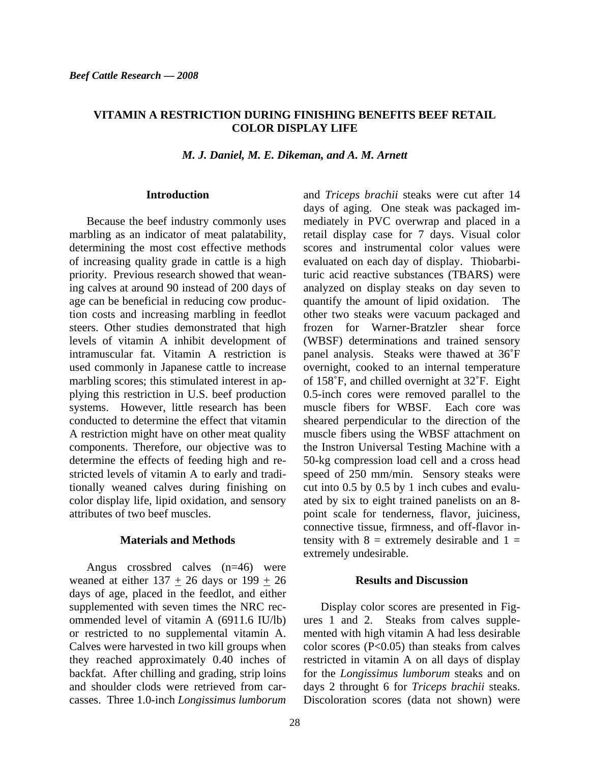# **VITAMIN A RESTRICTION DURING FINISHING BENEFITS BEEF RETAIL COLOR DISPLAY LIFE**

*M. J. Daniel, M. E. Dikeman, and A. M. Arnett* 

### **Introduction**

Because the beef industry commonly uses marbling as an indicator of meat palatability, determining the most cost effective methods of increasing quality grade in cattle is a high priority. Previous research showed that weaning calves at around 90 instead of 200 days of age can be beneficial in reducing cow production costs and increasing marbling in feedlot steers. Other studies demonstrated that high levels of vitamin A inhibit development of intramuscular fat. Vitamin A restriction is used commonly in Japanese cattle to increase marbling scores; this stimulated interest in applying this restriction in U.S. beef production systems. However, little research has been conducted to determine the effect that vitamin A restriction might have on other meat quality components. Therefore, our objective was to determine the effects of feeding high and restricted levels of vitamin A to early and traditionally weaned calves during finishing on color display life, lipid oxidation, and sensory attributes of two beef muscles.

## **Materials and Methods**

Angus crossbred calves (n=46) were weaned at either  $137 + 26$  days or  $199 + 26$ days of age, placed in the feedlot, and either supplemented with seven times the NRC recommended level of vitamin A (6911.6 IU/lb) or restricted to no supplemental vitamin A. Calves were harvested in two kill groups when they reached approximately 0.40 inches of backfat. After chilling and grading, strip loins and shoulder clods were retrieved from carcasses. Three 1.0-inch *Longissimus lumborum* 

and *Triceps brachii* steaks were cut after 14 days of aging. One steak was packaged immediately in PVC overwrap and placed in a retail display case for 7 days. Visual color scores and instrumental color values were evaluated on each day of display. Thiobarbituric acid reactive substances (TBARS) were analyzed on display steaks on day seven to quantify the amount of lipid oxidation. The other two steaks were vacuum packaged and frozen for Warner-Bratzler shear force (WBSF) determinations and trained sensory panel analysis. Steaks were thawed at 36˚F overnight, cooked to an internal temperature of 158˚F, and chilled overnight at 32˚F. Eight 0.5-inch cores were removed parallel to the muscle fibers for WBSF. Each core was sheared perpendicular to the direction of the muscle fibers using the WBSF attachment on the Instron Universal Testing Machine with a 50-kg compression load cell and a cross head speed of 250 mm/min. Sensory steaks were cut into 0.5 by 0.5 by 1 inch cubes and evaluated by six to eight trained panelists on an 8 point scale for tenderness, flavor, juiciness, connective tissue, firmness, and off-flavor intensity with  $8 =$  extremely desirable and  $1 =$ extremely undesirable.

### **Results and Discussion**

Display color scores are presented in Figures 1 and 2. Steaks from calves supplemented with high vitamin A had less desirable color scores  $(P<0.05)$  than steaks from calves restricted in vitamin A on all days of display for the *Longissimus lumborum* steaks and on days 2 throught 6 for *Triceps brachii* steaks. Discoloration scores (data not shown) were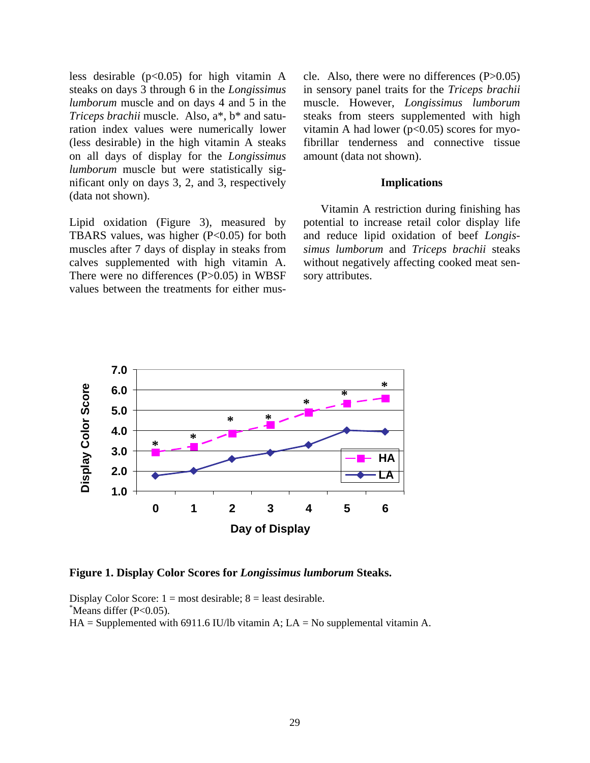less desirable  $(p<0.05)$  for high vitamin A steaks on days 3 through 6 in the *Longissimus lumborum* muscle and on days 4 and 5 in the *Triceps brachii* muscle. Also, a\*, b\* and saturation index values were numerically lower (less desirable) in the high vitamin A steaks on all days of display for the *Longissimus lumborum* muscle but were statistically significant only on days 3, 2, and 3, respectively (data not shown).

Lipid oxidation (Figure 3), measured by TBARS values, was higher  $(P<0.05)$  for both muscles after 7 days of display in steaks from calves supplemented with high vitamin A. There were no differences (P>0.05) in WBSF values between the treatments for either muscle. Also, there were no differences (P>0.05) in sensory panel traits for the *Triceps brachii* muscle. However, *Longissimus lumborum*  steaks from steers supplemented with high vitamin A had lower ( $p<0.05$ ) scores for myofibrillar tenderness and connective tissue amount (data not shown).

### **Implications**

Vitamin A restriction during finishing has potential to increase retail color display life and reduce lipid oxidation of beef *Longissimus lumborum* and *Triceps brachii* steaks without negatively affecting cooked meat sensory attributes.



**Figure 1. Display Color Scores for** *Longissimus lumborum* **Steaks.** 

Display Color Score:  $1 = \text{most desirable}$ ;  $8 = \text{least desirable}$ . \* Means differ (P<0.05).  $HA =$  Supplemented with 6911.6 IU/lb vitamin A;  $LA =$  No supplemental vitamin A.